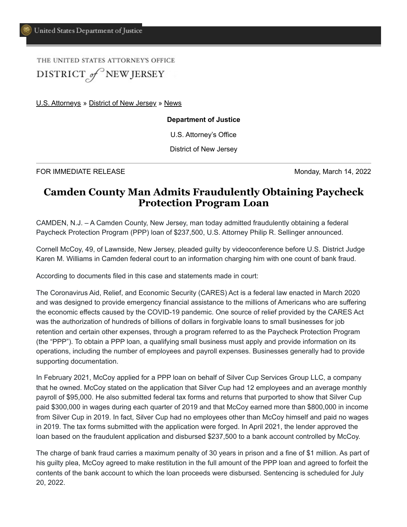THE UNITED STATES ATTORNEY'S OFFICE DISTRICT of NEW JERSEY

[U.S. Attorneys](https://www.justice.gov/usao) » [District of New Jersey](https://www.justice.gov/usao-nj) » [News](https://www.justice.gov/usao-nj/pr)

**Department of Justice**

U.S. Attorney's Office

District of New Jersey

FOR IMMEDIATE RELEASE **Monday, March 14, 2022** 

## **Camden County Man Admits Fraudulently Obtaining Paycheck Protection Program Loan**

CAMDEN, N.J. – A Camden County, New Jersey, man today admitted fraudulently obtaining a federal Paycheck Protection Program (PPP) loan of \$237,500, U.S. Attorney Philip R. Sellinger announced.

Cornell McCoy, 49, of Lawnside, New Jersey, pleaded guilty by videoconference before U.S. District Judge Karen M. Williams in Camden federal court to an information charging him with one count of bank fraud.

According to documents filed in this case and statements made in court:

The Coronavirus Aid, Relief, and Economic Security (CARES) Act is a federal law enacted in March 2020 and was designed to provide emergency financial assistance to the millions of Americans who are suffering the economic effects caused by the COVID-19 pandemic. One source of relief provided by the CARES Act was the authorization of hundreds of billions of dollars in forgivable loans to small businesses for job retention and certain other expenses, through a program referred to as the Paycheck Protection Program (the "PPP"). To obtain a PPP loan, a qualifying small business must apply and provide information on its operations, including the number of employees and payroll expenses. Businesses generally had to provide supporting documentation.

In February 2021, McCoy applied for a PPP loan on behalf of Silver Cup Services Group LLC, a company that he owned. McCoy stated on the application that Silver Cup had 12 employees and an average monthly payroll of \$95,000. He also submitted federal tax forms and returns that purported to show that Silver Cup paid \$300,000 in wages during each quarter of 2019 and that McCoy earned more than \$800,000 in income from Silver Cup in 2019. In fact, Silver Cup had no employees other than McCoy himself and paid no wages in 2019. The tax forms submitted with the application were forged. In April 2021, the lender approved the loan based on the fraudulent application and disbursed \$237,500 to a bank account controlled by McCoy.

The charge of bank fraud carries a maximum penalty of 30 years in prison and a fine of \$1 million. As part of his guilty plea, McCoy agreed to make restitution in the full amount of the PPP loan and agreed to forfeit the contents of the bank account to which the loan proceeds were disbursed. Sentencing is scheduled for July 20, 2022.